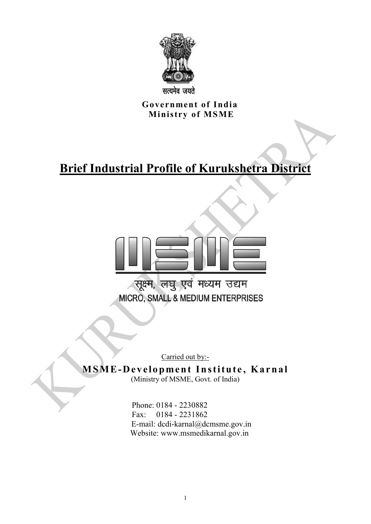

**सत्यमेव जयते** 

 **Government of India Ministry of MSME** 

# **Brief Industrial Profile of Kurukshetra District**



Carried out by:-

## **MSME-Development Institute, Karnal** (Ministry of MSME, Govt. of India)

 Phone: 0184 - 2230882 Fax: 0184 - 2231862 E-mail: dcdi-karnal@dcmsme.gov.in Website: www.msmedikarnal.gov.in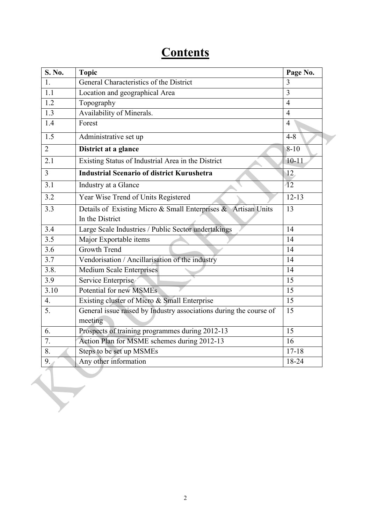# **Contents**

| S. No.           | <b>Topic</b>                                                       | Page No.        |
|------------------|--------------------------------------------------------------------|-----------------|
| 1.               | General Characteristics of the District                            | 3               |
| 1.1              | Location and geographical Area                                     | 3               |
| 1.2              | Topography                                                         | $\overline{4}$  |
| 1.3              | Availability of Minerals.                                          | $\overline{4}$  |
| 1.4              | Forest                                                             | $\overline{4}$  |
| 1.5              | Administrative set up                                              | $4 - 8$         |
| $\overline{2}$   | District at a glance                                               | $8 - 10$        |
| 2.1              | Existing Status of Industrial Area in the District                 | $10 - 11$       |
| $\overline{3}$   | <b>Industrial Scenario of district Kurushetra</b>                  | 12              |
| 3.1              | Industry at a Glance                                               | $\overline{12}$ |
| 3.2              | Year Wise Trend of Units Registered                                | $12 - 13$       |
| 3.3              | Details of Existing Micro & Small Enterprises & Artisan Units      | 13              |
|                  | In the District                                                    |                 |
| 3.4              | Large Scale Industries / Public Sector undertakings                | 14              |
| 3.5              | Major Exportable items                                             | 14              |
| 3.6              | <b>Growth Trend</b>                                                | 14              |
| $\overline{3.7}$ | Vendorisation / Ancillarisation of the industry                    | 14              |
| 3.8.             | <b>Medium Scale Enterprises</b>                                    | 14              |
| 3.9              | Service Enterprise                                                 | 15              |
| 3.10             | Potential for new MSMEs                                            | 15              |
| $\overline{4}$ . | Existing cluster of Micro & Small Enterprise                       | 15              |
| 5.               | General issue raised by Industry associations during the course of | 15              |
|                  | meeting                                                            |                 |
| 6.               | Prospects of training programmes during 2012-13                    | 15              |
| 7.               | Action Plan for MSME schemes during 2012-13                        | 16              |
| 8.               | Steps to be set up MSMEs                                           | $17 - 18$       |
| 9.7              | Any other information                                              | 18-24           |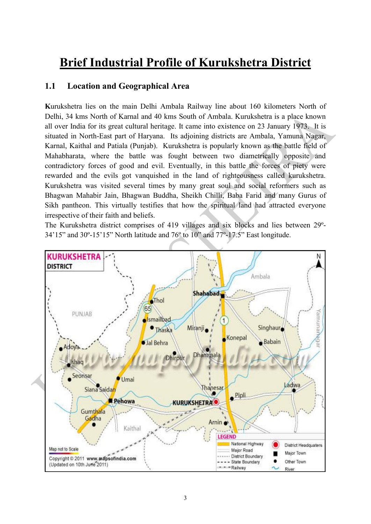# **Brief Industrial Profile of Kurukshetra District**

### **1.1 Location and Geographical Area**

**K**urukshetra lies on the main Delhi Ambala Railway line about 160 kilometers North of Delhi, 34 kms North of Karnal and 40 kms South of Ambala. Kurukshetra is a place known all over India for its great cultural heritage. It came into existence on 23 January 1973. It is situated in North-East part of Haryana. Its adjoining districts are Ambala, Yamuna Nagar, Karnal, Kaithal and Patiala (Punjab). Kurukshetra is popularly known as the battle field of Mahabharata, where the battle was fought between two diametrically opposite and contradictory forces of good and evil. Eventually, in this battle the forces of piety were rewarded and the evils got vanquished in the land of righteousness called kurukshetra. Kurukshetra was visited several times by many great soul and social reformers such as Bhagwan Mahabir Jain, Bhagwan Buddha, Sheikh Chilli, Baba Farid and many Gurus of Sikh pantheon. This virtually testifies that how the spiritual land had attracted everyone irrespective of their faith and beliefs.

The Kurukshetra district comprises of 419 villages and six blocks and lies between 29º-34'15" and 30º-15'15" North latitude and 76º to 10" and 77º-17.5" East longitude.

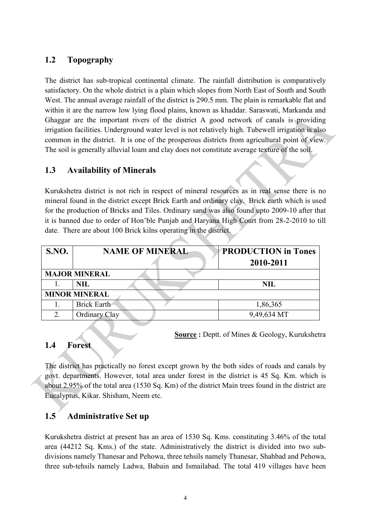# **1.2 Topography**

The district has sub-tropical continental climate. The rainfall distribution is comparatively satisfactory. On the whole district is a plain which slopes from North East of South and South West. The annual average rainfall of the district is 290.5 mm. The plain is remarkable flat and within it are the narrow low lying flood plains, known as khaddar. Saraswati, Markanda and Ghaggar are the important rivers of the district A good network of canals is providing irrigation facilities. Underground water level is not relatively high. Tubewell irrigation is also common in the district. It is one of the prosperous districts from agricultural point of view. The soil is generally alluvial loam and clay does not constitute average texture of the soil.

## **1.3 Availability of Minerals**

Kurukshetra district is not rich in respect of mineral resources as in real sense there is no mineral found in the district except Brick Earth and ordinary clay. Brick earth which is used for the production of Bricks and Tiles. Ordinary sand was also found upto 2009-10 after that it is banned due to order of Hon'ble Punjab and Haryana High Court from 28-2-2010 to till date. There are about 100 Brick kilns operating in the district.

| <b>S.NO.</b> | <b>NAME OF MINERAL</b> | <b>PRODUCTION in Tones</b><br>2010-2011 |
|--------------|------------------------|-----------------------------------------|
|              | <b>MAJOR MINERAL</b>   |                                         |
|              | <b>NIL</b>             | <b>NIL</b>                              |
|              | <b>MINOR MINERAL</b>   |                                         |
|              | Brick Earth            | 1,86,365                                |
|              | Ordinary Clay          | 9,49,634 MT                             |

**Source :** Deptt. of Mines & Geology, Kurukshetra

### **1.4 Forest**

The district has practically no forest except grown by the both sides of roads and canals by govt. departments. However, total area under forest in the district is 45 Sq. Km. which is about 2.95% of the total area (1530 Sq. Km) of the district Main trees found in the district are Eucalyptus, Kikar. Shisham, Neem etc.

## **1.5 Administrative Set up**

Kurukshetra district at present has an area of 1530 Sq. Kms. constituting 3.46% of the total area (44212 Sq. Kms.) of the state. Administratively the district is divided into two subdivisions namely Thanesar and Pehowa, three tehsils namely Thanesar, Shahbad and Pehowa, three sub-tehsils namely Ladwa, Babain and Ismailabad. The total 419 villages have been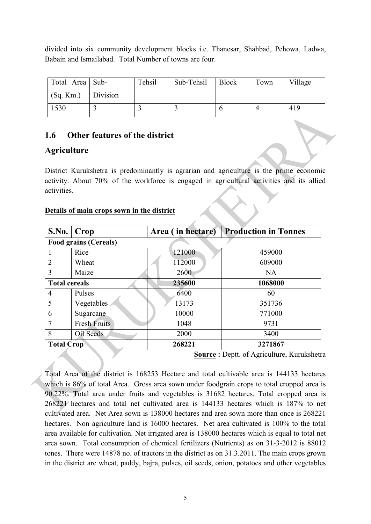divided into six community development blocks i.e. Thanesar, Shahbad, Pehowa, Ladwa, Babain and Ismailabad. Total Number of towns are four.

| Total Area   Sub-         | Tehsil | Sub-Tehsil | Block | Town | Village |
|---------------------------|--------|------------|-------|------|---------|
| $\log_{1} Km$ .) Division |        |            |       |      |         |
| 1530                      |        |            |       |      | 419     |

# **1.6 Other features of the district**

# **Agriculture**

District Kurukshetra is predominantly is agrarian and agriculture is the prime economic activity. About 70% of the workforce is engaged in agricultural activities and its allied activities.

## **Details of main crops sown in the district**

| S.No.                | $ $ Crop                                 | Area (in hectare) | <b>Production in Tonnes</b> |  |  |
|----------------------|------------------------------------------|-------------------|-----------------------------|--|--|
|                      | <b>Food grains (Cereals)</b>             |                   |                             |  |  |
| 1                    | Rice                                     | 121000            | 459000                      |  |  |
| $\overline{2}$       | Wheat                                    | 112000            | 609000                      |  |  |
| 3                    | Maize                                    | 2600              | NA                          |  |  |
| <b>Total cereals</b> |                                          | 235600            | 1068000                     |  |  |
| $\overline{4}$       | Pulses                                   | 6400              | 60                          |  |  |
| 5                    | Vegetables                               | 13173             | 351736                      |  |  |
| 6                    | Sugarcane                                | 10000             | 771000                      |  |  |
| $\overline{7}$       | <b>Fresh Fruits</b>                      | 1048              | 9731                        |  |  |
| 8                    | Oil Seeds                                | 2000              | 3400                        |  |  |
| <b>Total Crop</b>    |                                          | 268221            | 3271867                     |  |  |
|                      | Source • Dentt of Agriculture Kurukshetr |                   |                             |  |  |

**Source :** Deptt. of Agriculture, Kurukshetra

Total Area of the district is 168253 Hectare and total cultivable area is 144133 hectares which is 86% of total Area. Gross area sown under foodgrain crops to total cropped area is 90.22%. Total area under fruits and vegetables is 31682 hectares. Total cropped area is 268221 hectares and total net cultivated area is 144133 hectares which is 187% to net cultivated area. Net Area sown is 138000 hectares and area sown more than once is 268221 hectares. Non agriculture land is 16000 hectares. Net area cultivated is 100% to the total area available for cultivation. Net irrigated area is 138000 hectares which is equal to total net area sown. Total consumption of chemical fertilizers (Nutrients) as on 31-3-2012 is 88012 tones. There were 14878 no. of tractors in the district as on 31.3.2011. The main crops grown in the district are wheat, paddy, bajra, pulses, oil seeds, onion, potatoes and other vegetables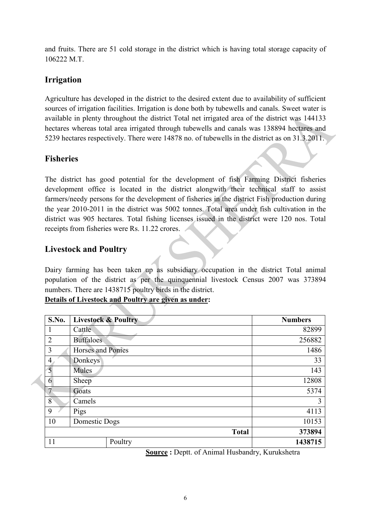and fruits. There are 51 cold storage in the district which is having total storage capacity of 106222 M.T.

# **Irrigation**

Agriculture has developed in the district to the desired extent due to availability of sufficient sources of irrigation facilities. Irrigation is done both by tubewells and canals. Sweet water is available in plenty throughout the district Total net irrigated area of the district was 144133 hectares whereas total area irrigated through tubewells and canals was 138894 hectares and 5239 hectares respectively. There were 14878 no. of tubewells in the district as on 31.3.2011.

# **Fisheries**

The district has good potential for the development of fish Farming District fisheries development office is located in the district alongwith their technical staff to assist farmers/needy persons for the development of fisheries in the district Fish production during the year 2010-2011 in the district was 5002 tonnes. Total area under fish cultivation in the district was 905 hectares. Total fishing licenses issued in the district were 120 nos. Total receipts from fisheries were Rs. 11.22 crores.

# **Livestock and Poultry**

Dairy farming has been taken up as subsidiary occupation in the district Total animal population of the district as per the quinquennial livestock Census 2007 was 373894 numbers. There are 1438715 poultry birds in the district.

**Details of Livestock and Poultry are given as under:**

| S.No.          | <b>Livestock &amp; Poultry</b> | <b>Numbers</b> |
|----------------|--------------------------------|----------------|
| 1              | Cattle                         | 82899          |
| $\overline{2}$ | <b>Buffaloes</b>               | 256882         |
| 3              | Horses and Ponies              | 1486           |
| $\overline{4}$ | Donkeys                        | 33             |
| 5              | Mules                          | 143            |
| 6              | Sheep                          | 12808          |
| $\overline{7}$ | Goats                          | 5374           |
| 8              | Camels                         | 3              |
| 9              | Pigs                           | 4113           |
| 10             | Domestic Dogs                  | 10153          |
|                | <b>Total</b>                   | 373894         |
| 11             | Poultry                        | 1438715        |

**Source :** Deptt. of Animal Husbandry, Kurukshetra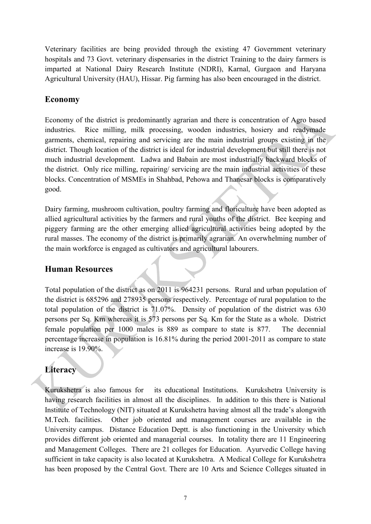Veterinary facilities are being provided through the existing 47 Government veterinary hospitals and 73 Govt. veterinary dispensaries in the district Training to the dairy farmers is imparted at National Dairy Research Institute (NDRI), Karnal, Gurgaon and Haryana Agricultural University (HAU), Hissar. Pig farming has also been encouraged in the district.

## **Economy**

Economy of the district is predominantly agrarian and there is concentration of Agro based industries. Rice milling, milk processing, wooden industries, hosiery and readymade garments, chemical, repairing and servicing are the main industrial groups existing in the district. Though location of the district is ideal for industrial development but still there is not much industrial development. Ladwa and Babain are most industrially backward blocks of the district. Only rice milling, repairing/ servicing are the main industrial activities of these blocks. Concentration of MSMEs in Shahbad, Pehowa and Thanesar blocks is comparatively good.

Dairy farming, mushroom cultivation, poultry farming and floriculture have been adopted as allied agricultural activities by the farmers and rural youths of the district. Bee keeping and piggery farming are the other emerging allied agricultural activities being adopted by the rural masses. The economy of the district is primarily agrarian. An overwhelming number of the main workforce is engaged as cultivators and agricultural labourers.

## **Human Resources**

Total population of the district as on 2011 is 964231 persons. Rural and urban population of the district is 685296 and 278935 persons respectively. Percentage of rural population to the total population of the district is 71.07%. Density of population of the district was 630 persons per Sq. Km whereas it is 573 persons per Sq. Km for the State as a whole. District female population per 1000 males is 889 as compare to state is 877. The decennial percentage increase in population is 16.81% during the period 2001-2011 as compare to state increase is 19.90%.

# **Literacy**

Kurukshetra is also famous for its educational Institutions. Kurukshetra University is having research facilities in almost all the disciplines. In addition to this there is National Institute of Technology (NIT) situated at Kurukshetra having almost all the trade's alongwith M.Tech. facilities. Other job oriented and management courses are available in the University campus. Distance Education Deptt. is also functioning in the University which provides different job oriented and managerial courses. In totality there are 11 Engineering and Management Colleges. There are 21 colleges for Education. Ayurvedic College having sufficient in take capacity is also located at Kurukshetra. A Medical College for Kurukshetra has been proposed by the Central Govt. There are 10 Arts and Science Colleges situated in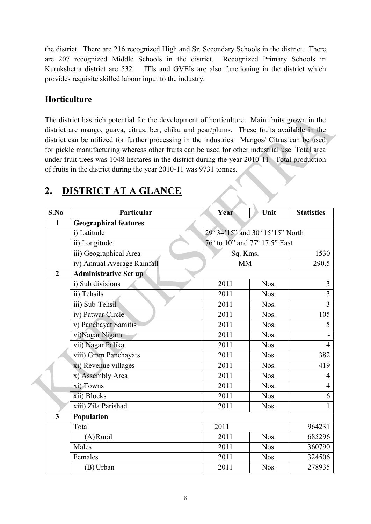the district. There are 216 recognized High and Sr. Secondary Schools in the district. There are 207 recognized Middle Schools in the district. Recognized Primary Schools in Kurukshetra district are 532. ITIs and GVEIs are also functioning in the district which provides requisite skilled labour input to the industry.

# **Horticulture**

The district has rich potential for the development of horticulture. Main fruits grown in the district are mango, guava, citrus, ber, chiku and pear/plums. These fruits available in the district can be utilized for further processing in the industries. Mangos/ Citrus can be used for pickle manufacturing whereas other fruits can be used for other industrial use. Total area under fruit trees was 1048 hectares in the district during the year 2010-11. Total production of fruits in the district during the year 2010-11 was 9731 tonnes.

| S.No                    | Particular                   | Year                            | Unit | <b>Statistics</b> |  |  |
|-------------------------|------------------------------|---------------------------------|------|-------------------|--|--|
| $\mathbf{1}$            | <b>Geographical features</b> |                                 |      |                   |  |  |
|                         | i) Latitude                  | 29° 34'15" and 30° 15'15" North |      |                   |  |  |
|                         | ii) Longitude                | 76° to 10" and 77° 17.5" East   |      |                   |  |  |
|                         | iii) Geographical Area       | Sq. Kms.                        |      | 1530              |  |  |
|                         | iv) Annual Average Rainfall  | <b>MM</b>                       |      | 290.5             |  |  |
| $\overline{2}$          | <b>Administrative Set up</b> |                                 |      |                   |  |  |
|                         | i) Sub divisions             | 2011                            | Nos. | 3                 |  |  |
|                         | ii) Tehsils                  | 2011                            | Nos. | $\overline{3}$    |  |  |
|                         | iii) Sub-Tehsil              | 2011                            | Nos. | $\overline{3}$    |  |  |
|                         | iv) Patwar Circle            | 2011                            | Nos. | 105               |  |  |
|                         | v) Panchayat Samitis         | 2011                            | Nos. | 5                 |  |  |
|                         | vi)Nagar Nigam               | 2011                            | Nos. |                   |  |  |
|                         | vii) Nagar Palika            | 2011                            | Nos. | $\overline{4}$    |  |  |
|                         | viii) Gram Panchayats        | 2011                            | Nos. | 382               |  |  |
|                         | xi) Revenue villages         | 2011                            | Nos. | 419               |  |  |
|                         | x) Assembly Area             | 2011                            | Nos. | 4                 |  |  |
|                         | xi) Towns                    | 2011                            | Nos. | $\overline{4}$    |  |  |
|                         | xii) Blocks                  | 2011                            | Nos. | 6                 |  |  |
|                         | xiii) Zila Parishad          | 2011                            | Nos. | 1                 |  |  |
| $\overline{\mathbf{3}}$ | Population                   |                                 |      |                   |  |  |
|                         | Total                        | 2011                            |      | 964231            |  |  |
|                         | $(A)$ Rural                  | 2011                            | Nos. | 685296            |  |  |
|                         | Males                        | 2011                            | Nos. | 360790            |  |  |
|                         | Females                      | 2011                            | Nos. | 324506            |  |  |
|                         | (B) Urban                    | 2011                            | Nos. | 278935            |  |  |

# **2. DISTRICT AT A GLANCE**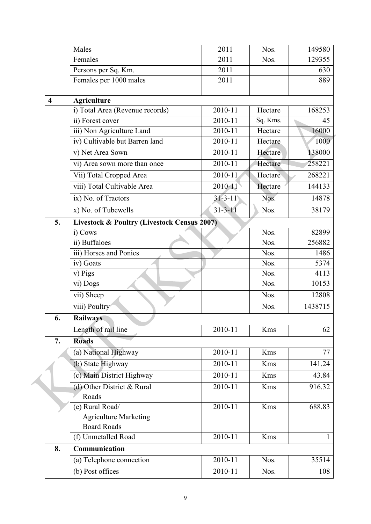|                         | Males                                                  | 2011          | Nos.     | 149580  |
|-------------------------|--------------------------------------------------------|---------------|----------|---------|
|                         | Females                                                | 2011          | Nos.     | 129355  |
|                         | Persons per Sq. Km.                                    | 2011          |          | 630     |
|                         | Females per 1000 males                                 | 2011          |          | 889     |
| $\overline{\mathbf{4}}$ | <b>Agriculture</b>                                     |               |          |         |
|                         | i) Total Area (Revenue records)                        | 2010-11       | Hectare  | 168253  |
|                         | ii) Forest cover                                       | 2010-11       | Sq. Kms. | 45      |
|                         | iii) Non Agriculture Land                              | 2010-11       | Hectare  | 16000   |
|                         | iv) Cultivable but Barren land                         | 2010-11       | Hectare  | 1000    |
|                         | v) Net Area Sown                                       | 2010-11       | Hectare  | 138000  |
|                         | vi) Area sown more than once                           | $2010 - 11$   | Hectare  | 258221  |
|                         | Vii) Total Cropped Area                                | $2010 - 11$   | Hectare  | 268221  |
|                         | viii) Total Cultivable Area                            | 2010-11       | Hectare  | 144133  |
|                         | ix) No. of Tractors                                    | $31 - 3 - 11$ | Nos.     | 14878   |
|                         | x) No. of Tubewells                                    | $31 - 3 - 11$ | Nos.     | 38179   |
| 5.                      | <b>Livestock &amp; Poultry (Livestock Census 2007)</b> |               |          |         |
|                         | i) Cows                                                |               | Nos.     | 82899   |
|                         | ii) Buffaloes                                          |               | Nos.     | 256882  |
|                         | iii) Horses and Ponies                                 |               | Nos.     | 1486    |
|                         | iv) Goats                                              |               | Nos.     | 5374    |
|                         | v) Pigs                                                |               | Nos.     | 4113    |
|                         | vi) Dogs                                               |               | Nos.     | 10153   |
|                         | vii) Sheep                                             |               | Nos.     | 12808   |
|                         | viii) Poultry                                          |               | Nos.     | 1438715 |
| 6.                      | <b>Railways</b>                                        |               |          |         |
|                         | Length of rail line                                    | 2010-11       | Kms      | 62      |
| 7.                      | <b>Roads</b>                                           |               |          |         |
|                         | (a) National Highway                                   | 2010-11       | Kms      | 77      |
|                         | (b) State Highway                                      | 2010-11       | Kms      | 141.24  |
|                         | (c) Main District Highway                              | 2010-11       | Kms      | 43.84   |
|                         | (d) Other District & Rural                             | 2010-11       | Kms      | 916.32  |
|                         | Roads                                                  |               |          |         |
|                         | (e) Rural Road/                                        | 2010-11       | Kms      | 688.83  |
|                         | <b>Agriculture Marketing</b>                           |               |          |         |
|                         | <b>Board Roads</b>                                     |               |          |         |
|                         | (f) Unmetalled Road                                    | 2010-11       | Kms      | 1       |
| 8.                      | Communication                                          |               |          |         |
|                         | (a) Telephone connection                               | 2010-11       | Nos.     | 35514   |
|                         | (b) Post offices                                       | 2010-11       | Nos.     | 108     |

4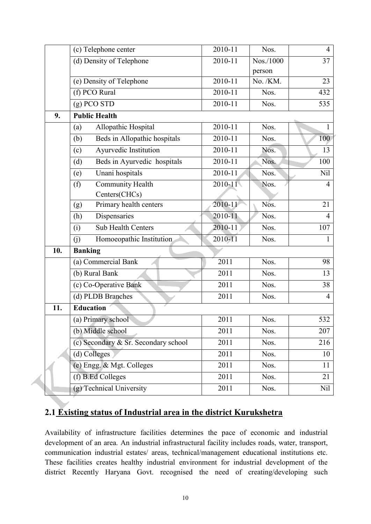|     | (c) Telephone center                 | $2010 - 11$ | Nos.      | $\overline{4}$ |
|-----|--------------------------------------|-------------|-----------|----------------|
|     | (d) Density of Telephone             | 2010-11     | Nos./1000 | 37             |
|     |                                      |             | person    |                |
|     | (e) Density of Telephone             | 2010-11     | No. /KM.  | 23             |
|     | (f) PCO Rural                        | 2010-11     | Nos.      | 432            |
|     | $(g)$ PCO STD                        | 2010-11     | Nos.      | 535            |
| 9.  | <b>Public Health</b>                 |             |           |                |
|     | Allopathic Hospital<br>(a)           | 2010-11     | Nos.      | $\mathbf{1}$   |
|     | Beds in Allopathic hospitals<br>(b)  | 2010-11     | Nos.      | 100            |
|     | Ayurvedic Institution<br>(c)         | 2010-11     | Nos.      | 13             |
|     | Beds in Ayurvedic hospitals<br>(d)   | 2010-11     | Nos.      | 100            |
|     | Unani hospitals<br>(e)               | 2010-11     | Nos.      | Nil            |
|     | <b>Community Health</b><br>(f)       | $2010 - 11$ | Nos.      | $\overline{4}$ |
|     | Centers(CHCs)                        |             |           |                |
|     | Primary health centers<br>(g)        | 2010-11     | Nos.      | 21             |
|     | Dispensaries<br>(h)                  | 2010-11     | Nos.      | $\overline{4}$ |
|     | Sub Health Centers<br>(i)            | 2010-11     | Nos.      | 107            |
|     | Homoeopathic Institution<br>(j)      | 2010-11     | Nos.      | 1              |
| 10. | <b>Banking</b>                       |             |           |                |
|     | (a) Commercial Bank                  | 2011        | Nos.      | 98             |
|     | (b) Rural Bank                       | 2011        | Nos.      | 13             |
|     | (c) Co-Operative Bank                | 2011        | Nos.      | 38             |
|     | (d) PLDB Branches                    | 2011        | Nos.      | $\overline{4}$ |
| 11. | <b>Education</b>                     |             |           |                |
|     | (a) Primary school                   | 2011        | Nos.      | 532            |
|     | (b) Middle school                    | 2011        | Nos.      | 207            |
|     | (c) Secondary & Sr. Secondary school | 2011        | Nos.      | 216            |
|     | (d) Colleges                         | 2011        | Nos.      | 10             |
|     | (e) Engg. & Mgt. Colleges            | 2011        | Nos.      | 11             |
|     | (f) B.Ed Colleges                    | 2011        | Nos.      | 21             |
|     | (g) Technical University             | 2011        | Nos.      | Nil            |

# **2.1 Existing status of Industrial area in the district Kurukshetra**

Á

Availability of infrastructure facilities determines the pace of economic and industrial development of an area. An industrial infrastructural facility includes roads, water, transport, communication industrial estates/ areas, technical/management educational institutions etc. These facilities creates healthy industrial environment for industrial development of the district Recently Haryana Govt. recognised the need of creating/developing such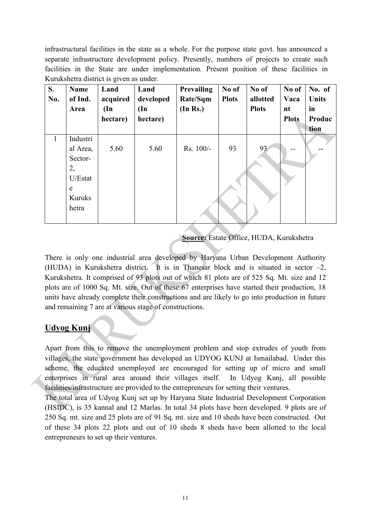infrastructural facilities in the state as a whole. For the purpose state govt. has announced a separate infrastructure development policy. Presently, numbers of projects to create such facilities in the State are under implementation. Present position of these facilities in Kurukshetra district is given as under.

| S.<br>No. | <b>Name</b><br>of Ind.<br>Area                                           | Land<br>acquired<br>$(\text{In})$<br>hectare) | Land<br>developed<br>$(\mathbf{In})$<br>hectare) | Prevailing<br>Rate/Sqm<br>(In Rs.) | No of<br><b>Plots</b> | No of<br>allotted<br><b>Plots</b> | No of<br>Vaca<br>nt<br><b>Plots</b> | No. of<br>Units<br>in<br>Produc<br>tion |
|-----------|--------------------------------------------------------------------------|-----------------------------------------------|--------------------------------------------------|------------------------------------|-----------------------|-----------------------------------|-------------------------------------|-----------------------------------------|
| 1         | Industri<br>al Area,<br>Sector-<br>2,<br>U/Estat<br>e<br>Kuruks<br>hetra | 5.60                                          | 5.60                                             | $Rs. 100/-$                        | 93                    | 93                                |                                     |                                         |

 **Source:** Estate Office, HUDA, Kurukshetra

There is only one industrial area developed by Haryana Urban Development Authority (HUDA) in Kurukshetra district. It is in Thanesar block and is situated in sector  $-2$ , Kurukshetra. It comprised of 93 plots out of which 81 plots are of 525 Sq. Mt. size and 12 plots are of 1000 Sq. Mt. size. Out of these 67 enterprises have started their production, 18 units have already complete their constructions and are likely to go into production in future and remaining 7 are at various stage of constructions.

# **Udyog Kunj**

Apart from this to remove the unemployment problem and stop extrudes of youth from villages, the state government has developed an UDYOG KUNJ at Ismailabad. Under this scheme, the educated unemployed are encouraged for setting up of micro and small enterprises in rural area around their villages itself. In Udyog Kunj, all possible facilities/infrastructure are provided to the entrepreneurs for setting their ventures.

The total area of Udyog Kunj set up by Haryana State Industrial Development Corporation (HSIDC), is 35 kannal and 12 Marlas. In total 34 plots have been developed. 9 plots are of 250 Sq. mt. size and 25 plots are of 91 Sq. mt. size and 10 sheds have been constructed. Out of these 34 plots 22 plots and out of 10 sheds 8 sheds have been allotted to the local entrepreneurs to set up their ventures.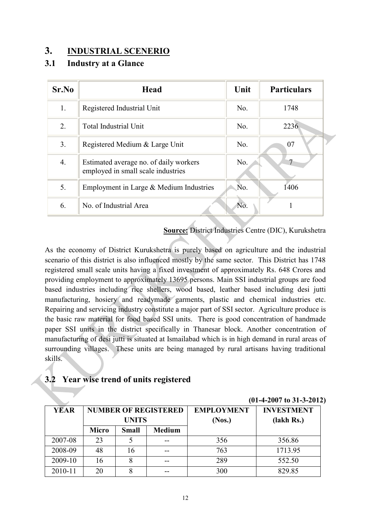# **3. INDUSTRIAL SCENERIO**

## **3.1 Industry at a Glance**

| Sr.No | <b>Head</b>                                                                  | Unit | <b>Particulars</b> |
|-------|------------------------------------------------------------------------------|------|--------------------|
| 1.    | Registered Industrial Unit                                                   | No.  | 1748               |
| 2.    | <b>Total Industrial Unit</b>                                                 | No.  | 2236               |
| 3.    | Registered Medium & Large Unit                                               | No.  | 07                 |
| 4.    | Estimated average no. of daily workers<br>employed in small scale industries | No.  |                    |
| 5.    | Employment in Large & Medium Industries                                      | No.  | 1406               |
| 6.    | No. of Industrial Area                                                       | No.  |                    |

**Source:** District Industries Centre (DIC), Kurukshetra

As the economy of District Kurukshetra is purely based on agriculture and the industrial scenario of this district is also influenced mostly by the same sector. This District has 1748 registered small scale units having a fixed investment of approximately Rs. 648 Crores and providing employment to approximately 13695 persons. Main SSI industrial groups are food based industries including rice shellers, wood based, leather based including desi jutti manufacturing, hosiery and readymade garments, plastic and chemical industries etc. Repairing and servicing industry constitute a major part of SSI sector. Agriculture produce is the basic raw material for food based SSI units. There is good concentration of handmade paper SSI units in the district specifically in Thanesar block. Another concentration of manufacturing of desi jutti is situated at Ismailabad which is in high demand in rural areas of surrounding villages. These units are being managed by rural artisans having traditional skills.

# **3.2 Year wise trend of units registered**

| YEAR    | <b>NUMBER OF REGISTERED</b><br><b>UNITS</b> |              | <b>EMPLOYMENT</b><br>(Nos.) | <b>INVESTMENT</b><br>(lakh Rs.) |         |
|---------|---------------------------------------------|--------------|-----------------------------|---------------------------------|---------|
|         | <b>Micro</b>                                | <b>Small</b> | <b>Medium</b>               |                                 |         |
| 2007-08 | 23                                          |              |                             | 356                             | 356.86  |
| 2008-09 | 48                                          |              |                             | 763                             | 1713.95 |
| 2009-10 | 16                                          |              |                             | 289                             | 552.50  |
| 2010-11 | 20                                          |              |                             | 300                             | 829.85  |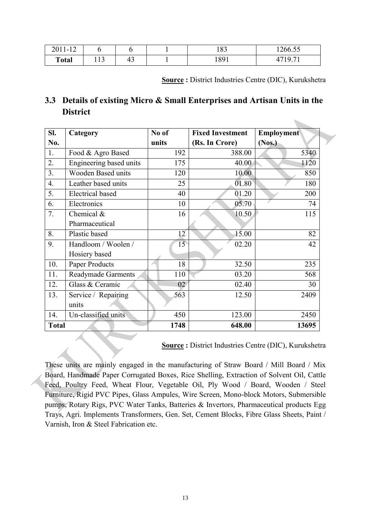| 2011-12      |                 |    | ാറ<br>10J | 1266.55                                 |
|--------------|-----------------|----|-----------|-----------------------------------------|
| <b>Total</b> | $\sim$<br>1 I J | 45 | 1891      | $\bigcap$ $\bigcap$ 1<br>17. <i>1</i> 1 |

**Source :** District Industries Centre (DIC), Kurukshetra

 $\sim$ 

# **3.3 Details of existing Micro & Small Enterprises and Artisan Units in the District**

| Sl.          | Category                  | No of           | <b>Fixed Investment</b> | <b>Employment</b> |
|--------------|---------------------------|-----------------|-------------------------|-------------------|
| No.          |                           | units           | (Rs. In Crore)          | (Nos.)            |
| 1.           | Food & Agro Based         | 192             | 388.00                  | 5340              |
| 2.           | Engineering based units   | 175             | 40.00                   | 1120              |
| 3.           | <b>Wooden Based units</b> | 120             | 10.00                   | 850               |
| 4.           | Leather based units       | 25              | 01.80                   | 180               |
| 5.           | <b>Electrical</b> based   | 40              | 01.20                   | 200               |
| 6.           | Electronics               | 10              | 05.70                   | 74                |
| 7.           | Chemical $&$              | 16              | 10.50                   | 115               |
|              | Pharmaceutical            |                 |                         |                   |
| 8.           | Plastic based             | 12 <sup>7</sup> | 15.00                   | 82                |
| 9.           | Handloom / Woolen /       | 15              | 02.20                   | 42                |
|              | Hosiery based             |                 |                         |                   |
| 10.          | Paper Products            | 18              | 32.50                   | 235               |
| 11.          | <b>Readymade Garments</b> | 110             | 03.20                   | 568               |
| 12.          | Glass & Ceramic           | 02              | 02.40                   | 30                |
| 13.          | Service / Repairing       | 563             | 12.50                   | 2409              |
|              | units                     |                 |                         |                   |
| 14.          | Un-classified units       | 450             | 123.00                  | 2450              |
| <b>Total</b> |                           | 1748            | 648.00                  | 13695             |

**Source :** District Industries Centre (DIC), Kurukshetra

These units are mainly engaged in the manufacturing of Straw Board / Mill Board / Mix Board, Handmade Paper Corrugated Boxes, Rice Shelling, Extraction of Solvent Oil, Cattle Feed, Poultry Feed, Wheat Flour, Vegetable Oil, Ply Wood / Board, Wooden / Steel Furniture, Rigid PVC Pipes, Glass Ampules, Wire Screen, Mono-block Motors, Submersible pumps, Rotary Rigs, PVC Water Tanks, Batteries & Invertors, Pharmaceutical products Egg Trays, Agri. Implements Transformers, Gen. Set, Cement Blocks, Fibre Glass Sheets, Paint / Varnish, Iron & Steel Fabrication etc.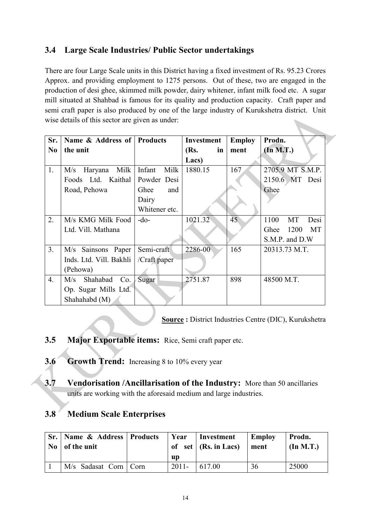# **3.4 Large Scale Industries/ Public Sector undertakings**

There are four Large Scale units in this District having a fixed investment of Rs. 95.23 Crores Approx. and providing employment to 1275 persons. Out of these, two are engaged in the production of desi ghee, skimmed milk powder, dairy whitener, infant milk food etc. A sugar mill situated at Shahbad is famous for its quality and production capacity. Craft paper and semi craft paper is also produced by one of the large industry of Kurukshetra district. Unit wise details of this sector are given as under: 

| Sr.              | Name & Address of Products |                | Investment | <b>Employ</b> | Prodn.             |
|------------------|----------------------------|----------------|------------|---------------|--------------------|
| N <sub>0</sub>   | the unit                   |                | (Rs.<br>in | ment          | $(\ln M.T.)$       |
|                  |                            |                | Lacs)      |               |                    |
| 1.               | Milk<br>M/s<br>Haryana     | Infant<br>Milk | 1880.15    | 167           | 2705.9 MT S.M.P.   |
|                  | Foods Ltd. Kaithal         | Powder Desi    |            |               | 2150.6 MT Desi     |
|                  | Road, Pehowa               | Ghee<br>and    |            |               | Ghee               |
|                  |                            | Dairy          |            |               |                    |
|                  |                            | Whitener etc.  |            |               |                    |
| 2.               | M/s KMG Milk Food          | $-do-$         | 1021.32    | 45            | 1100<br>MT<br>Desi |
|                  | Ltd. Vill. Mathana         |                |            |               | 1200<br>MT<br>Ghee |
|                  |                            |                |            |               | S.M.P. and D.W     |
| 3 <sub>1</sub>   | M/s Sainsons Paper         | Semi-craft     | 2286-00    | 165           | 20313.73 M.T.      |
|                  | Inds. Ltd. Vill. Bakhli    | /Craft paper   |            |               |                    |
|                  | (Pehowa)                   |                |            |               |                    |
| $\overline{4}$ . | M/s Shahabad<br>Co.        | Sugar          | 2751.87    | 898           | 48500 M.T.         |
|                  | Op. Sugar Mills Ltd.       |                |            |               |                    |
|                  | Shahahabd (M)              |                |            |               |                    |

**Source :** District Industries Centre (DIC), Kurukshetra

- **3.5 Major Exportable items:** Rice, Semi craft paper etc.
- **3.6 Growth Trend:** Increasing 8 to 10% every year
- **3.7 Vendorisation /Ancillarisation of the Industry:** More than 50 ancillaries units are working with the aforesaid medium and large industries.

# **3.8 Medium Scale Enterprises**

| Sr.   Name & Address   Products<br>$\text{No}$ of the unit | Year     | Investment<br>of set $(Rs. in Lacs)$ | Employ<br>ment | Prodn.<br>(In M.T.) |
|------------------------------------------------------------|----------|--------------------------------------|----------------|---------------------|
|                                                            | up       |                                      |                |                     |
| M/s Sadasat Corn   Corn                                    | $2011 -$ | 617.00                               |                | 25000               |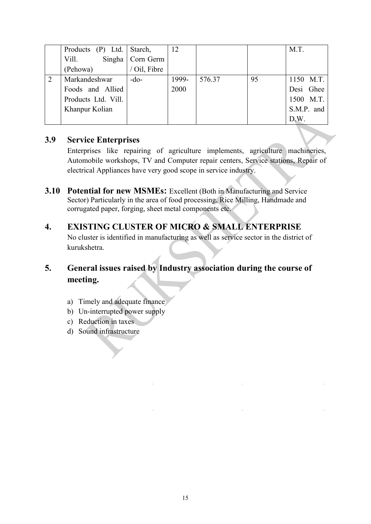|                | Products (P) Ltd. Starch, |                    | 12    |        |    | M.T.       |
|----------------|---------------------------|--------------------|-------|--------|----|------------|
|                | Vill.                     | Singha   Corn Germ |       |        |    |            |
|                | (Pehowa)                  | / Oil, Fibre       |       |        |    |            |
| $\overline{2}$ | Markandeshwar             | $-do-$             | 1999- | 576.37 | 95 | 1150 M.T.  |
|                | Foods and Allied          |                    | 2000  |        |    | Desi Ghee  |
|                | Products Ltd. Vill.       |                    |       |        |    | 1500 M.T.  |
|                | Khanpur Kolian            |                    |       |        |    | S.M.P. and |
|                |                           |                    |       |        |    | D.W.       |

## **3.9 Service Enterprises**

Enterprises like repairing of agriculture implements, agriculture machineries, Automobile workshops, TV and Computer repair centers, Service stations, Repair of electrical Appliances have very good scope in service industry.

- **3.10 Potential for new MSMEs:** Excellent (Both in Manufacturing and Service Sector) Particularly in the area of food processing, Rice Milling, Handmade and corrugated paper, forging, sheet metal components etc.
- **4. EXISTING CLUSTER OF MICRO & SMALL ENTERPRISE**  No cluster is identified in manufacturing as well as service sector in the district of kurukshetra.

# **5. General issues raised by Industry association during the course of meeting.**

- a) Timely and adequate finance
- b) Un-interrupted power supply
- c) Reduction in taxes
- d) Sound infrastructure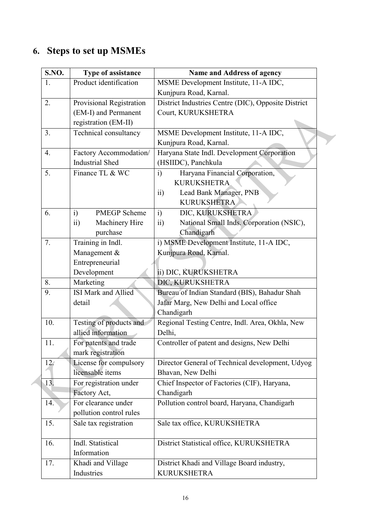# **6. Steps to set up MSMEs**

| S.NO. | Type of assistance                | Name and Address of agency                                  |
|-------|-----------------------------------|-------------------------------------------------------------|
| 1.    | Product identification            | MSME Development Institute, 11-A IDC,                       |
|       |                                   | Kunjpura Road, Karnal.                                      |
| 2.    | <b>Provisional Registration</b>   | District Industries Centre (DIC), Opposite District         |
|       | (EM-I) and Permanent              | Court, KURUKSHETRA                                          |
|       | registration (EM-II)              |                                                             |
| 3.    | Technical consultancy             | MSME Development Institute, 11-A IDC,                       |
|       |                                   | Kunjpura Road, Karnal.                                      |
| 4.    | Factory Accommodation/            | Haryana State Indl. Development Corporation                 |
|       | <b>Industrial Shed</b>            | (HSIIDC), Panchkula                                         |
| 5.    | Finance TL & WC                   | Haryana Financial Corporation,<br>i)                        |
|       |                                   | <b>KURUKSHETRA</b>                                          |
|       |                                   | Lead Bank Manager, PNB<br>$\overline{ii}$                   |
|       |                                   | <b>KURUKSHETRA</b>                                          |
| 6.    | i)<br><b>PMEGP</b> Scheme         | i)<br>DIC, KURUKSHETRA                                      |
|       | Machinery Hire<br>$\overline{ii}$ | National Small Inds. Corporation (NSIC),<br>$\overline{ii}$ |
|       | purchase                          | Chandigarh                                                  |
| 7.    | Training in Indl.                 | i) MSME Development Institute, 11-A IDC,                    |
|       | Management &                      | Kunjpura Road, Karnal.                                      |
|       | Entrepreneurial                   |                                                             |
|       | Development                       | ii) DIC, KURUKSHETRA                                        |
| 8.    | Marketing                         | DIC, KURUKSHETRA                                            |
| 9.    | <b>ISI</b> Mark and Allied        | Bureau of Indian Standard (BIS), Bahadur Shah               |
|       | detail                            | Jafar Marg, New Delhi and Local office                      |
|       |                                   | Chandigarh                                                  |
| 10.   | Testing of products and           | Regional Testing Centre, Indl. Area, Okhla, New             |
|       | allied information                | Delhi,                                                      |
| 11.   | For patents and trade             | Controller of patent and designs, New Delhi                 |
|       | mark registration                 |                                                             |
| 12.   | License for compulsory            | Director General of Technical development, Udyog            |
|       | licensable items                  | Bhavan, New Delhi                                           |
| 13.   | For registration under            | Chief Inspector of Factories (CIF), Haryana,                |
|       | Factory Act,                      | Chandigarh                                                  |
| 14.   | For clearance under               | Pollution control board, Haryana, Chandigarh                |
|       | pollution control rules           |                                                             |
| 15.   | Sale tax registration             | Sale tax office, KURUKSHETRA                                |
| 16.   | Indl. Statistical                 | District Statistical office, KURUKSHETRA                    |
|       | Information                       |                                                             |
| 17.   | Khadi and Village                 | District Khadi and Village Board industry,                  |
|       | Industries                        | <b>KURUKSHETRA</b>                                          |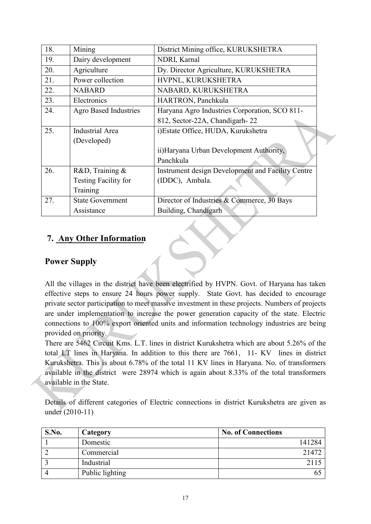| 18. | Mining                       | District Mining office, KURUKSHETRA               |
|-----|------------------------------|---------------------------------------------------|
| 19. | Dairy development            | NDRI, Karnal                                      |
| 20. | Agriculture                  | Dy. Director Agriculture, KURUKSHETRA             |
| 21. | Power collection             | HVPNL, KURUKSHETRA                                |
| 22. | <b>NABARD</b>                | NABARD, KURUKSHETRA                               |
| 23. | Electronics                  | HARTRON, Panchkula                                |
| 24. | <b>Agro Based Industries</b> | Haryana Agro Industries Corporation, SCO 811-     |
|     |                              | 812, Sector-22A, Chandigarh-22                    |
| 25. | <b>Industrial Area</b>       | i)Estate Office, HUDA, Kurukshetra                |
|     | (Developed)                  |                                                   |
|     |                              | ii) Haryana Urban Development Authority,          |
|     |                              | Panchkula                                         |
| 26. | R&D, Training &              | Instrument design Development and Facility Centre |
|     | Testing Facility for         | (IDDC), Ambala.                                   |
|     | Training                     |                                                   |
| 27. | <b>State Government</b>      | Director of Industries & Commerce, 30 Bays        |
|     | Assistance                   | Building, Chandigarh                              |

# **7. Any Other Information**

# **Power Supply**

All the villages in the district have been electrified by HVPN. Govt. of Haryana has taken effective steps to ensure 24 hours power supply. State Govt. has decided to encourage private sector participation to meet massive investment in these projects. Numbers of projects are under implementation to increase the power generation capacity of the state. Electric connections to 100% export oriented units and information technology industries are being provided on priority.

There are 5462 Circuit Kms. L.T. lines in district Kurukshetra which are about 5.26% of the total LT lines in Haryana. In addition to this there are 7661, 11- KV lines in district Kurukshetra. This is about 6.78% of the total 11 KV lines in Haryana. No. of transformers available in the district were 28974 which is again about 8.33% of the total transformers available in the State.

Details of different categories of Electric connections in district Kurukshetra are given as under (2010-11)

| S.No. | Category        | <b>No. of Connections</b> |
|-------|-----------------|---------------------------|
|       | Domestic        | 141284                    |
|       | Commercial      | 21472                     |
|       | Industrial      |                           |
|       | Public lighting |                           |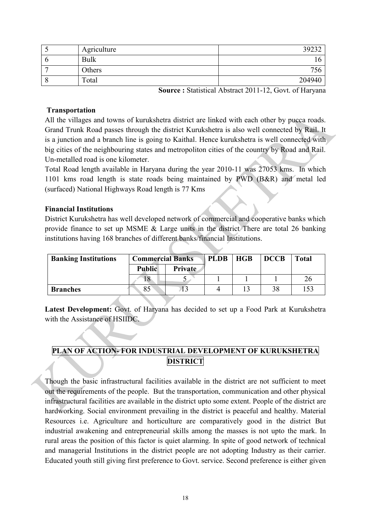| Agriculture | 39232  |
|-------------|--------|
| <b>Bulk</b> |        |
| Others      |        |
| Total       | 204940 |

**Source :** Statistical Abstract 2011-12, Govt. of Haryana

### **Transportation**

All the villages and towns of kurukshetra district are linked with each other by pucca roads. Grand Trunk Road passes through the district Kurukshetra is also well connected by Rail. It is a junction and a branch line is going to Kaithal. Hence kurukshetra is well connected with big cities of the neighbouring states and metropoliton cities of the country by Road and Rail. Un-metalled road is one kilometer.

Total Road length available in Haryana during the year 2010-11 was 27053 kms. In which 1101 kms road length is state roads being maintained by PWD (B&R) and metal led (surfaced) National Highways Road length is 77 Kms

### **Financial Institutions**

District Kurukshetra has well developed network of commercial and cooperative banks which provide finance to set up MSME & Large units in the district There are total 26 banking institutions having 168 branches of different banks/financial Institutions.

| <b>Banking Institutions</b> | <b>Commercial Banks</b> |         | <b>PLDB</b> | <b>HGB</b> | <b>DCCB</b> | <b>Total</b> |
|-----------------------------|-------------------------|---------|-------------|------------|-------------|--------------|
|                             | <b>Public</b>           | Private |             |            |             |              |
|                             |                         |         |             |            |             |              |
| <b>Branches</b>             | 85                      |         |             |            |             | 153          |

**Latest Development:** Govt. of Haryana has decided to set up a Food Park at Kurukshetra with the Assistance of HSIIDC.

## **PLAN OF ACTION- FOR INDUSTRIAL DEVELOPMENT OF KURUKSHETRA DISTRICT**

Though the basic infrastructural facilities available in the district are not sufficient to meet out the requirements of the people. But the transportation, communication and other physical infrastructural facilities are available in the district upto some extent. People of the district are hardworking. Social environment prevailing in the district is peaceful and healthy. Material Resources i.e. Agriculture and horticulture are comparatively good in the district But industrial awakening and entrepreneurial skills among the masses is not upto the mark. In rural areas the position of this factor is quiet alarming. In spite of good network of technical and managerial Institutions in the district people are not adopting Industry as their carrier. Educated youth still giving first preference to Govt. service. Second preference is either given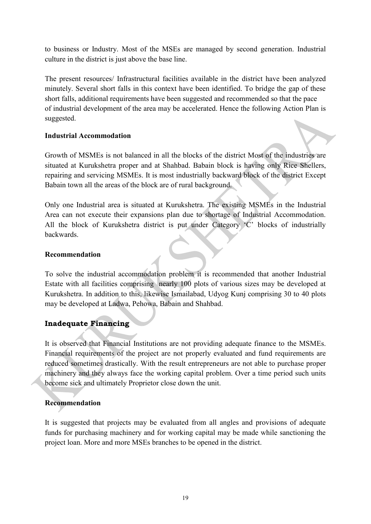to business or Industry. Most of the MSEs are managed by second generation. Industrial culture in the district is just above the base line.

The present resources/ Infrastructural facilities available in the district have been analyzed minutely. Several short falls in this context have been identified. To bridge the gap of these short falls, additional requirements have been suggested and recommended so that the pace of industrial development of the area may be accelerated. Hence the following Action Plan is suggested.

### **Industrial Accommodation**

Growth of MSMEs is not balanced in all the blocks of the district Most of the industries are situated at Kurukshetra proper and at Shahbad. Babain block is having only Rice Shellers, repairing and servicing MSMEs. It is most industrially backward block of the district Except Babain town all the areas of the block are of rural background.

Only one Industrial area is situated at Kurukshetra. The existing MSMEs in the Industrial Area can not execute their expansions plan due to shortage of Industrial Accommodation. All the block of Kurukshetra district is put under Category 'C' blocks of industrially backwards.

### **Recommendation**

To solve the industrial accommodation problem it is recommended that another Industrial Estate with all facilities comprising nearly 100 plots of various sizes may be developed at Kurukshetra. In addition to this, likewise Ismailabad, Udyog Kunj comprising 30 to 40 plots may be developed at Ladwa, Pehowa, Babain and Shahbad.

## **Inadequate Financing**

It is observed that Financial Institutions are not providing adequate finance to the MSMEs. Financial requirements of the project are not properly evaluated and fund requirements are reduced sometimes drastically. With the result entrepreneurs are not able to purchase proper machinery and they always face the working capital problem. Over a time period such units become sick and ultimately Proprietor close down the unit.

### **Recommendation**

It is suggested that projects may be evaluated from all angles and provisions of adequate funds for purchasing machinery and for working capital may be made while sanctioning the project loan. More and more MSEs branches to be opened in the district.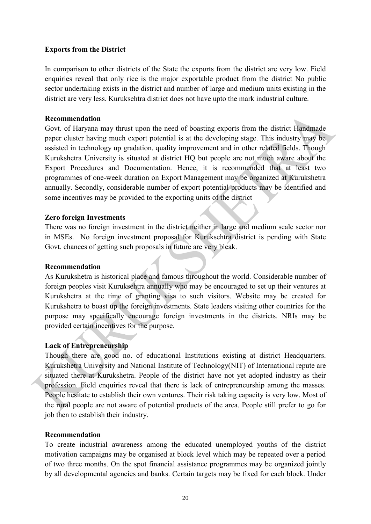### **Exports from the District**

In comparison to other districts of the State the exports from the district are very low. Field enquiries reveal that only rice is the major exportable product from the district No public sector undertaking exists in the district and number of large and medium units existing in the district are very less. Kuruksehtra district does not have upto the mark industrial culture.

#### **Recommendation**

Govt. of Haryana may thrust upon the need of boasting exports from the district Handmade paper cluster having much export potential is at the developing stage. This industry may be assisted in technology up gradation, quality improvement and in other related fields. Though Kurukshetra University is situated at district HQ but people are not much aware about the Export Procedures and Documentation. Hence, it is recommended that at least two programmes of one-week duration on Export Management may be organized at Kurukshetra annually. Secondly, considerable number of export potential products may be identified and some incentives may be provided to the exporting units of the district

#### **Zero foreign Investments**

There was no foreign investment in the district neither in large and medium scale sector nor in MSEs. No foreign investment proposal for Kuruksehtra district is pending with State Govt. chances of getting such proposals in future are very bleak.

#### **Recommendation**

As Kurukshetra is historical place and famous throughout the world. Considerable number of foreign peoples visit Kuruksehtra annually who may be encouraged to set up their ventures at Kurukshetra at the time of granting visa to such visitors. Website may be created for Kurukshetra to boast up the foreign investments. State leaders visiting other countries for the purpose may specifically encourage foreign investments in the districts. NRIs may be provided certain incentives for the purpose.

#### **Lack of Entrepreneurship**

Though there are good no. of educational Institutions existing at district Headquarters. Kurukshetra University and National Institute of Technology(NIT) of International repute are situated there at Kurukshetra. People of the district have not yet adopted industry as their profession. Field enquiries reveal that there is lack of entrepreneurship among the masses. People hesitate to establish their own ventures. Their risk taking capacity is very low. Most of the rural people are not aware of potential products of the area. People still prefer to go for job then to establish their industry.

### **Recommendation**

To create industrial awareness among the educated unemployed youths of the district motivation campaigns may be organised at block level which may be repeated over a period of two three months. On the spot financial assistance programmes may be organized jointly by all developmental agencies and banks. Certain targets may be fixed for each block. Under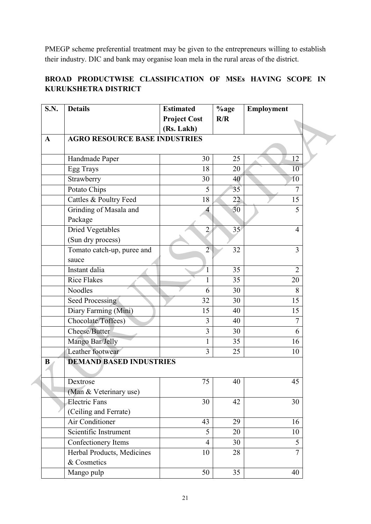PMEGP scheme preferential treatment may be given to the entrepreneurs willing to establish their industry. DIC and bank may organise loan mela in the rural areas of the district.

## **BROAD PRODUCTWISE CLASSIFICATION OF MSEs HAVING SCOPE IN KURUKSHETRA DISTRICT**

| S.N.        | <b>Details</b>                       | <b>Estimated</b>    | %age | Employment     |
|-------------|--------------------------------------|---------------------|------|----------------|
|             |                                      | <b>Project Cost</b> | R/R  |                |
|             |                                      | (Rs. Lakh)          |      |                |
| $\mathbf A$ | <b>AGRO RESOURCE BASE INDUSTRIES</b> |                     |      |                |
|             |                                      |                     |      |                |
|             | Handmade Paper                       | 30                  | 25   | 12             |
|             | Egg Trays                            | 18                  | 20   | 10             |
|             | Strawberry                           | 30                  | 40   | 10             |
|             | Potato Chips                         | 5                   | 35   | 7              |
|             | Cattles & Poultry Feed               | 18                  | 22   | 15             |
|             | Grinding of Masala and               |                     | 30   | 5              |
|             | Package                              |                     |      |                |
|             | <b>Dried Vegetables</b>              | $\overline{2}$      | 35   | $\overline{4}$ |
|             | (Sun dry process)                    |                     |      |                |
|             | Tomato catch-up, puree and           | $\overline{2}$      | 32   | 3              |
|             | sauce                                |                     |      |                |
|             | Instant dalia                        | 1                   | 35   | $\overline{2}$ |
|             | <b>Rice Flakes</b>                   |                     | 35   | 20             |
|             | Noodles                              | 6                   | 30   | 8              |
|             | <b>Seed Processing</b>               | 32                  | 30   | 15             |
|             | Diary Farming (Mini)                 | 15                  | 40   | 15             |
|             | Chocolate/Toffees)                   | 3                   | 40   | 7              |
|             | Cheese/Butter                        | $\overline{3}$      | 30   | 6              |
|             | Mango Bar/Jelly                      | 1                   | 35   | 16             |
|             | Leather footwear                     | $\overline{3}$      | 25   | 10             |
| $\bf{B}$    | <b>DEMAND BASED INDUSTRIES</b>       |                     |      |                |
|             |                                      |                     |      |                |
|             | Dextrose                             | 75                  | 40   | 45             |
|             | (Man & Veterinary use)               |                     |      |                |
|             | <b>Electric Fans</b>                 | 30                  | 42   | 30             |
|             | (Ceiling and Ferrate)                |                     |      |                |
|             | <b>Air Conditioner</b>               | 43                  | 29   | 16             |
|             | Scientific Instrument                | 5                   | 20   | 10             |
|             | Confectionery Items                  | $\overline{4}$      | 30   | 5              |
|             | Herbal Products, Medicines           | 10                  | 28   | $\overline{7}$ |
|             | & Cosmetics                          |                     |      |                |
|             | Mango pulp                           | 50                  | 35   | 40             |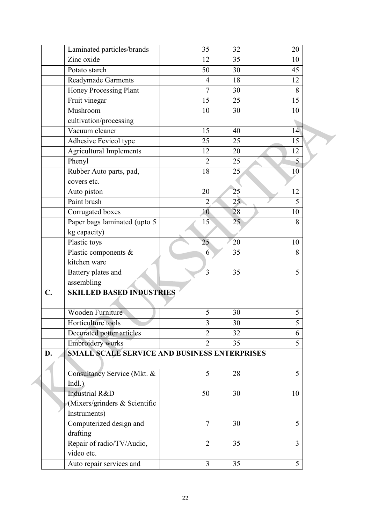|                | Laminated particles/brands                   | 35             | 32 | 20             |  |
|----------------|----------------------------------------------|----------------|----|----------------|--|
|                | Zinc oxide                                   | 12             | 35 | 10             |  |
|                | Potato starch                                | 50             | 30 | 45             |  |
|                | Readymade Garments                           | $\overline{4}$ | 18 | 12             |  |
|                | Honey Processing Plant                       | 7              | 30 | 8              |  |
|                | Fruit vinegar                                | 15             | 25 | 15             |  |
|                | Mushroom                                     | 10             | 30 | 10             |  |
|                | cultivation/processing                       |                |    |                |  |
|                | Vacuum cleaner                               | 15             | 40 | 14             |  |
|                | Adhesive Fevicol type                        | 25             | 25 | 15             |  |
|                | <b>Agricultural Implements</b>               | 12             | 20 | 12             |  |
|                | Phenyl                                       | $\overline{2}$ | 25 | $\overline{5}$ |  |
|                | Rubber Auto parts, pad,                      | 18             | 25 | 10             |  |
|                | covers etc.                                  |                |    |                |  |
|                | Auto piston                                  | 20             | 25 | 12             |  |
|                | Paint brush                                  | $\overline{2}$ | 25 | 5              |  |
|                | Corrugated boxes                             | 10             | 28 | 10             |  |
|                | Paper bags laminated (upto 5                 | 15             | 25 | 8              |  |
|                | kg capacity)                                 |                |    |                |  |
|                | Plastic toys                                 | 25             | 20 | 10             |  |
|                | Plastic components &                         | 6              | 35 | 8              |  |
|                | kitchen ware                                 |                |    |                |  |
|                | Battery plates and                           | 3              | 35 | 5              |  |
|                | assembling                                   |                |    |                |  |
| $\mathbf{C}$ . | <b>SKILLED BASED INDUSTRIES</b>              |                |    |                |  |
|                |                                              |                |    |                |  |
|                | Wooden Furniture                             | 5              | 30 | 5              |  |
|                | Horticulture tools                           | 3              | 30 | 5              |  |
|                | Decorated potter articles                    | $\overline{2}$ | 32 | 6              |  |
|                | <b>Embroidery</b> works                      | $\overline{2}$ | 35 | 5              |  |
| D.             | SMALL SCALE SERVICE AND BUSINESS ENTERPRISES |                |    |                |  |
|                |                                              |                |    |                |  |
|                | Consultancy Service (Mkt. &                  | 5              | 28 | 5              |  |
|                | $Indl.$ )                                    |                |    |                |  |
|                | Industrial R&D                               | 50             | 30 | 10             |  |
|                | (Mixers/grinders & Scientific                |                |    |                |  |
|                | Instruments)                                 |                |    |                |  |
|                | Computerized design and                      | $\overline{7}$ | 30 | 5              |  |
|                | drafting                                     |                |    |                |  |
|                | Repair of radio/TV/Audio,                    | $\overline{2}$ | 35 | $\overline{3}$ |  |
|                | video etc.                                   |                |    |                |  |
|                | Auto repair services and                     | $\overline{3}$ | 35 | 5              |  |